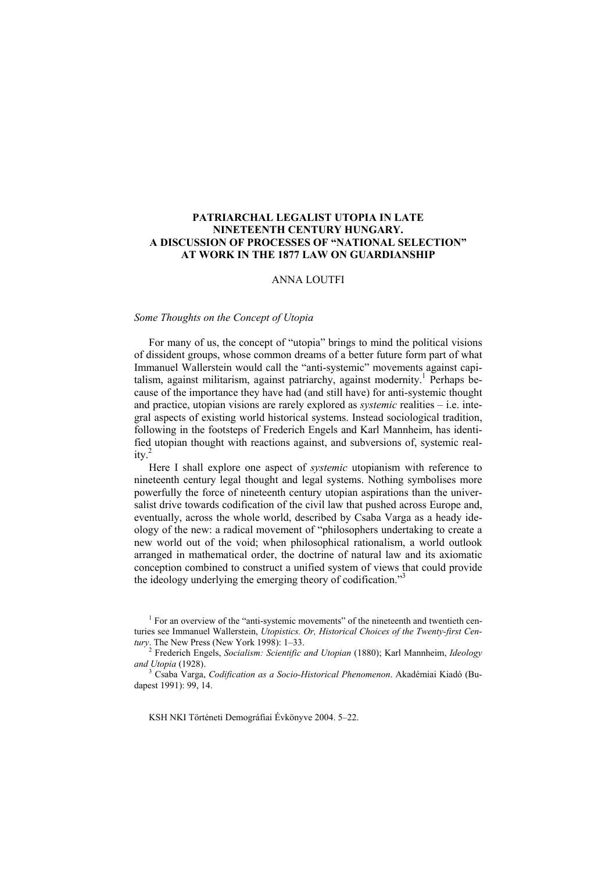# **PATRIARCHAL LEGALIST UTOPIA IN LATE NINETEENTH CENTURY HUNGARY. A DISCUSSION OF PROCESSES OF "NATIONAL SELECTION" AT WORK IN THE 1877 LAW ON GUARDIANSHIP**

# ANNA LOUTFI

### *Some Thoughts on the Concept of Utopia*

For many of us, the concept of "utopia" brings to mind the political visions of dissident groups, whose common dreams of a better future form part of what Immanuel Wallerstein would call the "anti-systemic" movements against capitalism, against militarism, against patriarchy, against modernity.<sup>1</sup> Perhaps because of the importance they have had (and still have) for anti-systemic thought and practice, utopian visions are rarely explored as *systemic* realities – i.e. integral aspects of existing world historical systems. Instead sociological tradition, following in the footsteps of Frederich Engels and Karl Mannheim, has identified utopian thought with reactions against, and subversions of, systemic reality $^2$ 

Here I shall explore one aspect of *systemic* utopianism with reference to nineteenth century legal thought and legal systems. Nothing symbolises more powerfully the force of nineteenth century utopian aspirations than the universalist drive towards codification of the civil law that pushed across Europe and, eventually, across the whole world, described by Csaba Varga as a heady ideology of the new: a radical movement of "philosophers undertaking to create a new world out of the void; when philosophical rationalism, a world outlook arranged in mathematical order, the doctrine of natural law and its axiomatic conception combined to construct a unified system of views that could provide the ideology underlying the emerging theory of codification."<sup>3</sup>

KSH NKI Történeti Demográfiai Évkönyve 2004. 5–22.

<sup>&</sup>lt;sup>1</sup> For an overview of the "anti-systemic movements" of the nineteenth and twentieth centuries see Immanuel Wallerstein, *Utopistics. Or, Historical Choices of the Twenty-first Century*. The New Press (New York 1998): 1–33.

<sup>2</sup> Frederich Engels, *Socialism: Scientific and Utopian* (1880); Karl Mannheim, *Ideology and Utopia* (1928).

Csaba Varga, *Codification as a Socio-Historical Phenomenon*. Akadémiai Kiadó (Budapest 1991): 99, 14.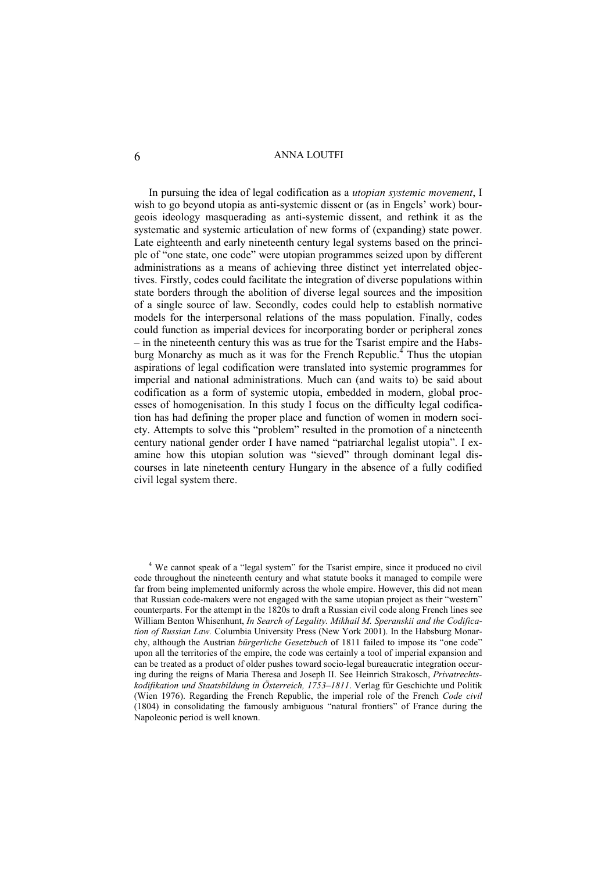In pursuing the idea of legal codification as a *utopian systemic movement*, I wish to go beyond utopia as anti-systemic dissent or (as in Engels' work) bourgeois ideology masquerading as anti-systemic dissent, and rethink it as the systematic and systemic articulation of new forms of (expanding) state power. Late eighteenth and early nineteenth century legal systems based on the principle of "one state, one code" were utopian programmes seized upon by different administrations as a means of achieving three distinct yet interrelated objectives. Firstly, codes could facilitate the integration of diverse populations within state borders through the abolition of diverse legal sources and the imposition of a single source of law. Secondly, codes could help to establish normative models for the interpersonal relations of the mass population. Finally, codes could function as imperial devices for incorporating border or peripheral zones – in the nineteenth century this was as true for the Tsarist empire and the Habsburg Monarchy as much as it was for the French Republic.<sup>4</sup> Thus the utopian aspirations of legal codification were translated into systemic programmes for imperial and national administrations. Much can (and waits to) be said about codification as a form of systemic utopia, embedded in modern, global processes of homogenisation. In this study I focus on the difficulty legal codification has had defining the proper place and function of women in modern society. Attempts to solve this "problem" resulted in the promotion of a nineteenth century national gender order I have named "patriarchal legalist utopia". I examine how this utopian solution was "sieved" through dominant legal discourses in late nineteenth century Hungary in the absence of a fully codified civil legal system there.

<sup>&</sup>lt;sup>4</sup> We cannot speak of a "legal system" for the Tsarist empire, since it produced no civil code throughout the nineteenth century and what statute books it managed to compile were far from being implemented uniformly across the whole empire. However, this did not mean that Russian code-makers were not engaged with the same utopian project as their "western" counterparts. For the attempt in the 1820s to draft a Russian civil code along French lines see William Benton Whisenhunt, *In Search of Legality. Mikhail M. Speranskii and the Codification of Russian Law.* Columbia University Press (New York 2001). In the Habsburg Monarchy, although the Austrian *bürgerliche Gesetzbuch* of 1811 failed to impose its "one code" upon all the territories of the empire, the code was certainly a tool of imperial expansion and can be treated as a product of older pushes toward socio-legal bureaucratic integration occuring during the reigns of Maria Theresa and Joseph II. See Heinrich Strakosch, *Privatrechtskodifikation und Staatsbildung in Österreich, 1753–1811*. Verlag für Geschichte und Politik (Wien 1976). Regarding the French Republic, the imperial role of the French *Code civil* (1804) in consolidating the famously ambiguous "natural frontiers" of France during the Napoleonic period is well known.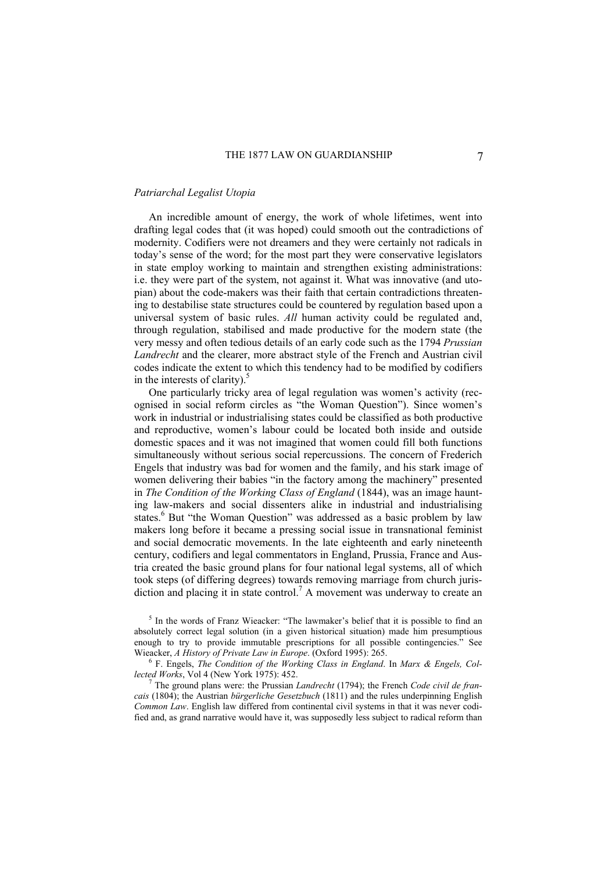### *Patriarchal Legalist Utopia*

An incredible amount of energy, the work of whole lifetimes, went into drafting legal codes that (it was hoped) could smooth out the contradictions of modernity. Codifiers were not dreamers and they were certainly not radicals in today's sense of the word; for the most part they were conservative legislators in state employ working to maintain and strengthen existing administrations: i.e. they were part of the system, not against it. What was innovative (and utopian) about the code-makers was their faith that certain contradictions threatening to destabilise state structures could be countered by regulation based upon a universal system of basic rules. *All* human activity could be regulated and, through regulation, stabilised and made productive for the modern state (the very messy and often tedious details of an early code such as the 1794 *Prussian Landrecht* and the clearer, more abstract style of the French and Austrian civil codes indicate the extent to which this tendency had to be modified by codifiers in the interests of clarity). $\frac{5}{3}$ 

One particularly tricky area of legal regulation was women's activity (recognised in social reform circles as "the Woman Question"). Since women's work in industrial or industrialising states could be classified as both productive and reproductive, women's labour could be located both inside and outside domestic spaces and it was not imagined that women could fill both functions simultaneously without serious social repercussions. The concern of Frederich Engels that industry was bad for women and the family, and his stark image of women delivering their babies "in the factory among the machinery" presented in *The Condition of the Working Class of England* (1844), was an image haunting law-makers and social dissenters alike in industrial and industrialising states.<sup>6</sup> But "the Woman Question" was addressed as a basic problem by law makers long before it became a pressing social issue in transnational feminist and social democratic movements. In the late eighteenth and early nineteenth century, codifiers and legal commentators in England, Prussia, France and Austria created the basic ground plans for four national legal systems, all of which took steps (of differing degrees) towards removing marriage from church jurisdiction and placing it in state control.<sup>7</sup> A movement was underway to create an

<sup>5</sup> In the words of Franz Wieacker: "The lawmaker's belief that it is possible to find an absolutely correct legal solution (in a given historical situation) made him presumptious enough to try to provide immutable prescriptions for all possible contingencies." See Wieacker, *A History of Private Law in Europe*. (Oxford 1995): 265.

 F. Engels, *The Condition of the Working Class in England*. In *Marx & Engels, Collected Works*, Vol 4 (New York 1975): 452. 7

 The ground plans were: the Prussian *Landrecht* (1794); the French *Code civil de francais* (1804); the Austrian *bürgerliche Gesetzbuch* (1811) and the rules underpinning English *Common Law*. English law differed from continental civil systems in that it was never codified and, as grand narrative would have it, was supposedly less subject to radical reform than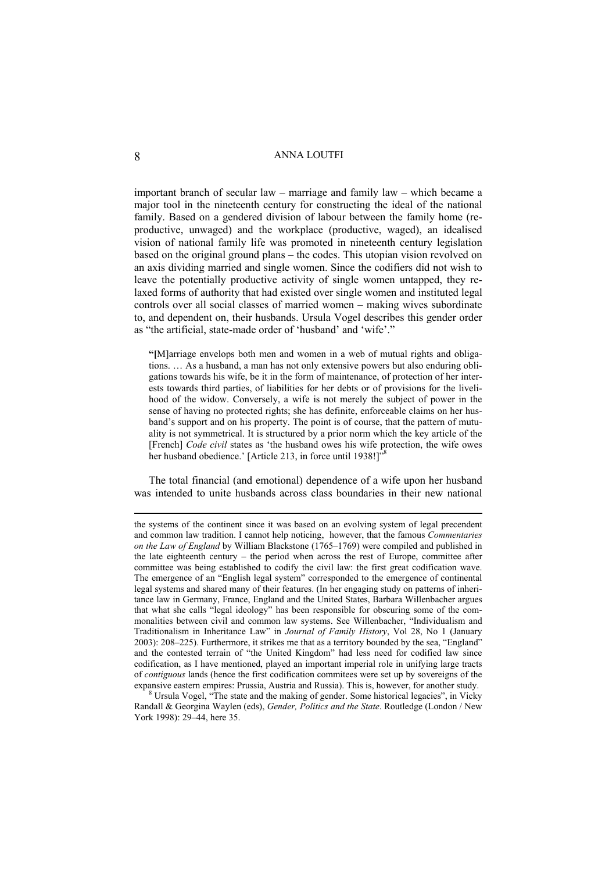important branch of secular law – marriage and family law – which became a major tool in the nineteenth century for constructing the ideal of the national family. Based on a gendered division of labour between the family home (reproductive, unwaged) and the workplace (productive, waged), an idealised vision of national family life was promoted in nineteenth century legislation based on the original ground plans – the codes. This utopian vision revolved on an axis dividing married and single women. Since the codifiers did not wish to leave the potentially productive activity of single women untapped, they relaxed forms of authority that had existed over single women and instituted legal controls over all social classes of married women – making wives subordinate to, and dependent on, their husbands. Ursula Vogel describes this gender order as "the artificial, state-made order of 'husband' and 'wife'."

**"[**M]arriage envelops both men and women in a web of mutual rights and obligations. … As a husband, a man has not only extensive powers but also enduring obligations towards his wife, be it in the form of maintenance, of protection of her interests towards third parties, of liabilities for her debts or of provisions for the livelihood of the widow. Conversely, a wife is not merely the subject of power in the sense of having no protected rights; she has definite, enforceable claims on her husband's support and on his property. The point is of course, that the pattern of mutuality is not symmetrical. It is structured by a prior norm which the key article of the [French] *Code civil* states as 'the husband owes his wife protection, the wife owes her husband obedience.' [Article 213, in force until 1938!]"

The total financial (and emotional) dependence of a wife upon her husband was intended to unite husbands across class boundaries in their new national

 $8$  Ursula Vogel, "The state and the making of gender. Some historical legacies", in Vicky Randall & Georgina Waylen (eds), *Gender, Politics and the State*. Routledge (London / New York 1998): 29–44, here 35.

 $\overline{a}$ 

the systems of the continent since it was based on an evolving system of legal precendent and common law tradition. I cannot help noticing, however, that the famous *Commentaries on the Law of England* by William Blackstone (1765–1769) were compiled and published in the late eighteenth century – the period when across the rest of Europe, committee after committee was being established to codify the civil law: the first great codification wave. The emergence of an "English legal system" corresponded to the emergence of continental legal systems and shared many of their features. (In her engaging study on patterns of inheritance law in Germany, France, England and the United States, Barbara Willenbacher argues that what she calls "legal ideology" has been responsible for obscuring some of the commonalities between civil and common law systems. See Willenbacher, "Individualism and Traditionalism in Inheritance Law" in *Journal of Family History*, Vol 28, No 1 (January 2003): 208–225). Furthermore, it strikes me that as a territory bounded by the sea, "England" and the contested terrain of "the United Kingdom" had less need for codified law since codification, as I have mentioned, played an important imperial role in unifying large tracts of *contiguous* lands (hence the first codification commitees were set up by sovereigns of the expansive eastern empires: Prussia, Austria and Russia). This is, however, for another study. 8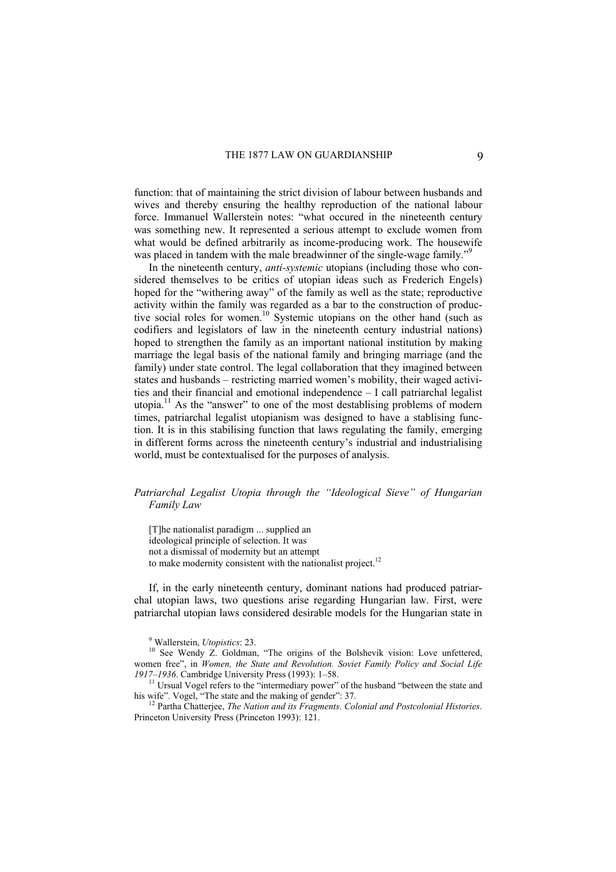function: that of maintaining the strict division of labour between husbands and wives and thereby ensuring the healthy reproduction of the national labour force. Immanuel Wallerstein notes: "what occured in the nineteenth century was something new. It represented a serious attempt to exclude women from what would be defined arbitrarily as income-producing work. The housewife was placed in tandem with the male breadwinner of the single-wage family."<sup>9</sup>

In the nineteenth century, *anti-systemic* utopians (including those who considered themselves to be critics of utopian ideas such as Frederich Engels) hoped for the "withering away" of the family as well as the state; reproductive activity within the family was regarded as a bar to the construction of productive social roles for women.<sup>10</sup> Systemic utopians on the other hand (such as codifiers and legislators of law in the nineteenth century industrial nations) hoped to strengthen the family as an important national institution by making marriage the legal basis of the national family and bringing marriage (and the family) under state control. The legal collaboration that they imagined between states and husbands – restricting married women's mobility, their waged activities and their financial and emotional independence – I call patriarchal legalist utopia.<sup>11</sup> As the "answer" to one of the most destablising problems of modern times, patriarchal legalist utopianism was designed to have a stablising function. It is in this stabilising function that laws regulating the family, emerging in different forms across the nineteenth century's industrial and industrialising world, must be contextualised for the purposes of analysis.

# *Patriarchal Legalist Utopia through the "Ideological Sieve" of Hungarian Family Law*

[T]he nationalist paradigm ... supplied an ideological principle of selection. It was not a dismissal of modernity but an attempt to make modernity consistent with the nationalist project.<sup>12</sup>

If, in the early nineteenth century, dominant nations had produced patriarchal utopian laws, two questions arise regarding Hungarian law. First, were patriarchal utopian laws considered desirable models for the Hungarian state in

<sup>9</sup> Wallerstein, *Utopistics*: 23.

<sup>12</sup> Partha Chatterjee, The Nation and its Fragments. Colonial and Postcolonial Histories. Princeton University Press (Princeton 1993): 121.

<sup>&</sup>lt;sup>10</sup> See Wendy Z. Goldman, "The origins of the Bolshevik vision: Love unfettered, women free", in *Women, the State and Revolution. Soviet Family Policy and Social Life 1917–1936.* Cambridge University Press (1993): 1–58.

<sup>&</sup>lt;sup>11</sup> Ursual Vogel refers to the "intermediary power" of the husband "between the state and his wife". Vogel, "The state and the making of gender": 37.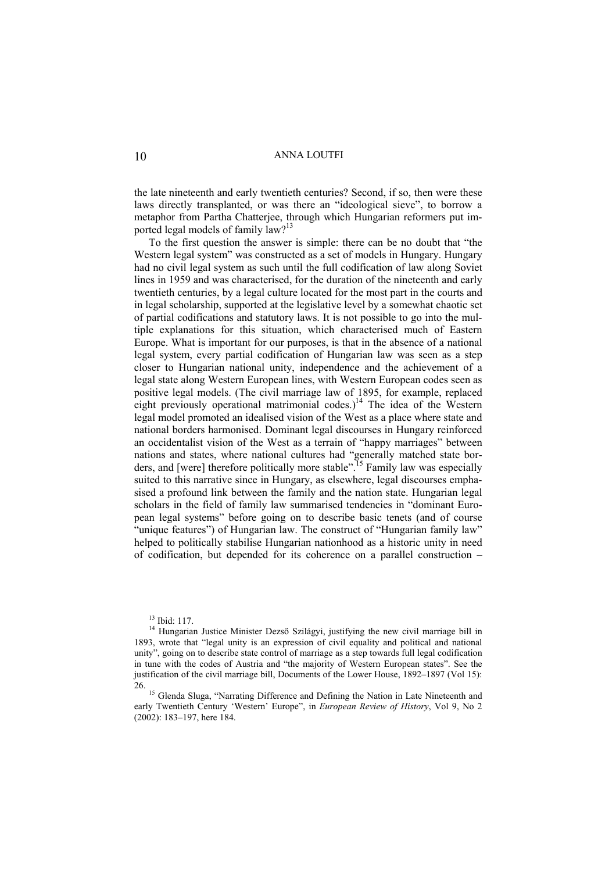the late nineteenth and early twentieth centuries? Second, if so, then were these laws directly transplanted, or was there an "ideological sieve", to borrow a metaphor from Partha Chatterjee, through which Hungarian reformers put imported legal models of family law?<sup>13</sup>

To the first question the answer is simple: there can be no doubt that "the Western legal system" was constructed as a set of models in Hungary. Hungary had no civil legal system as such until the full codification of law along Soviet lines in 1959 and was characterised, for the duration of the nineteenth and early twentieth centuries, by a legal culture located for the most part in the courts and in legal scholarship, supported at the legislative level by a somewhat chaotic set of partial codifications and statutory laws. It is not possible to go into the multiple explanations for this situation, which characterised much of Eastern Europe. What is important for our purposes, is that in the absence of a national legal system, every partial codification of Hungarian law was seen as a step closer to Hungarian national unity, independence and the achievement of a legal state along Western European lines, with Western European codes seen as positive legal models. (The civil marriage law of 1895, for example, replaced eight previously operational matrimonial codes.)<sup>14</sup> The idea of the Western legal model promoted an idealised vision of the West as a place where state and national borders harmonised. Dominant legal discourses in Hungary reinforced an occidentalist vision of the West as a terrain of "happy marriages" between nations and states, where national cultures had "generally matched state borders, and [were] therefore politically more stable".<sup>15</sup> Family law was especially suited to this narrative since in Hungary, as elsewhere, legal discourses emphasised a profound link between the family and the nation state. Hungarian legal scholars in the field of family law summarised tendencies in "dominant European legal systems" before going on to describe basic tenets (and of course "unique features") of Hungarian law. The construct of "Hungarian family law" helped to politically stabilise Hungarian nationhood as a historic unity in need of codification, but depended for its coherence on a parallel construction –

<sup>&</sup>lt;sup>13</sup> Ibid: 117.

<sup>&</sup>lt;sup>14</sup> Hungarian Justice Minister Dezső Szilágyi, justifying the new civil marriage bill in 1893, wrote that "legal unity is an expression of civil equality and political and national unity", going on to describe state control of marriage as a step towards full legal codification in tune with the codes of Austria and "the majority of Western European states". See the justification of the civil marriage bill, Documents of the Lower House, 1892–1897 (Vol 15): 26. 15 Glenda Sluga, "Narrating Difference and Defining the Nation in Late Nineteenth and

early Twentieth Century 'Western' Europe", in *European Review of History*, Vol 9, No 2 (2002): 183–197, here 184.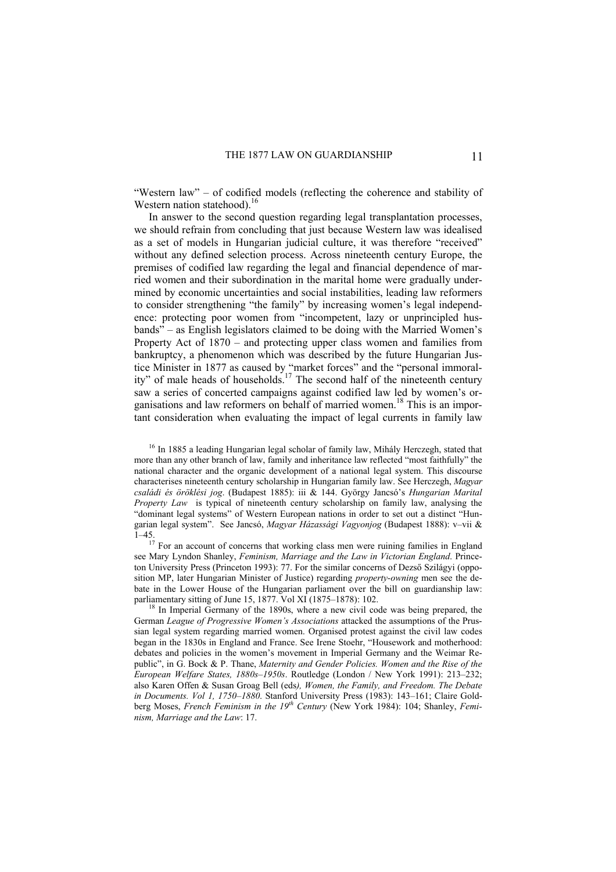"Western law" – of codified models (reflecting the coherence and stability of Western nation statehood).<sup>16</sup>

In answer to the second question regarding legal transplantation processes, we should refrain from concluding that just because Western law was idealised as a set of models in Hungarian judicial culture, it was therefore "received" without any defined selection process. Across nineteenth century Europe, the premises of codified law regarding the legal and financial dependence of married women and their subordination in the marital home were gradually undermined by economic uncertainties and social instabilities, leading law reformers to consider strengthening "the family" by increasing women's legal independence: protecting poor women from "incompetent, lazy or unprincipled husbands" – as English legislators claimed to be doing with the Married Women's Property Act of 1870 – and protecting upper class women and families from bankruptcy, a phenomenon which was described by the future Hungarian Justice Minister in 1877 as caused by "market forces" and the "personal immorality" of male heads of households.<sup>17</sup> The second half of the nineteenth century saw a series of concerted campaigns against codified law led by women's organisations and law reformers on behalf of married women.18 This is an important consideration when evaluating the impact of legal currents in family law

<sup>16</sup> In 1885 a leading Hungarian legal scholar of family law, Mihály Herczegh, stated that more than any other branch of law, family and inheritance law reflected "most faithfully" the national character and the organic development of a national legal system. This discourse characterises nineteenth century scholarship in Hungarian family law. See Herczegh, *Magyar családi és öröklési jog*. (Budapest 1885): iii & 144. György Jancsó's *Hungarian Marital Property Law* is typical of nineteenth century scholarship on family law, analysing the "dominant legal systems" of Western European nations in order to set out a distinct "Hungarian legal system". See Jancsó, *Magyar Házassági Vagyonjog* (Budapest 1888): v–vii &  $1-45$ .<br><sup>17</sup> For an account of concerns that working class men were ruining families in England

see Mary Lyndon Shanley, *Feminism, Marriage and the Law in Victorian England*. Princeton University Press (Princeton 1993): 77. For the similar concerns of Dezső Szilágyi (opposition MP, later Hungarian Minister of Justice) regarding *property-owning* men see the debate in the Lower House of the Hungarian parliament over the bill on guardianship law: parliamentary sitting of June 15, 1877. Vol XI (1875–1878): 102.<br><sup>18</sup> In Imperial Germany of the 1890s, where a new civil code was being prepared, the

German *League of Progressive Women's Associations* attacked the assumptions of the Prussian legal system regarding married women. Organised protest against the civil law codes began in the 1830s in England and France. See Irene Stoehr, "Housework and motherhood: debates and policies in the women's movement in Imperial Germany and the Weimar Republic", in G. Bock & P. Thane, *Maternity and Gender Policies. Women and the Rise of the European Welfare States, 1880s–1950s*. Routledge (London / New York 1991): 213–232; also Karen Offen & Susan Groag Bell (eds*), Women, the Family, and Freedom. The Debate in Documents. Vol 1, 1750–1880*. Stanford University Press (1983): 143–161; Claire Goldberg Moses, *French Feminism in the 19<sup>th</sup> Century* (New York 1984): 104; Shanley, *Feminism, Marriage and the Law*: 17.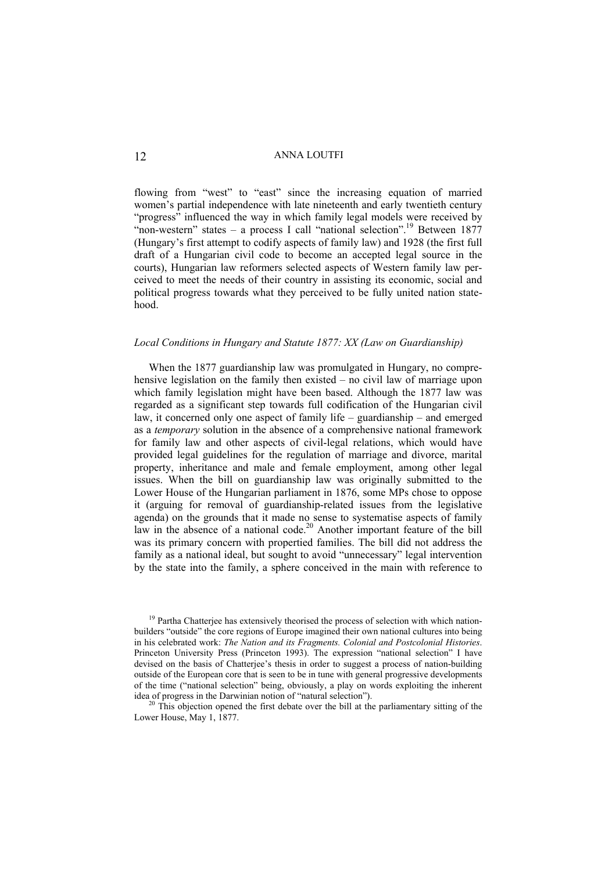flowing from "west" to "east" since the increasing equation of married women's partial independence with late nineteenth and early twentieth century "progress" influenced the way in which family legal models were received by "non-western" states – a process I call "national selection".<sup>19</sup> Between 1877 (Hungary's first attempt to codify aspects of family law) and 1928 (the first full draft of a Hungarian civil code to become an accepted legal source in the courts), Hungarian law reformers selected aspects of Western family law perceived to meet the needs of their country in assisting its economic, social and political progress towards what they perceived to be fully united nation statehood.

### *Local Conditions in Hungary and Statute 1877: XX (Law on Guardianship)*

When the 1877 guardianship law was promulgated in Hungary, no comprehensive legislation on the family then existed – no civil law of marriage upon which family legislation might have been based. Although the 1877 law was regarded as a significant step towards full codification of the Hungarian civil law, it concerned only one aspect of family life – guardianship – and emerged as a *temporary* solution in the absence of a comprehensive national framework for family law and other aspects of civil-legal relations, which would have provided legal guidelines for the regulation of marriage and divorce, marital property, inheritance and male and female employment, among other legal issues. When the bill on guardianship law was originally submitted to the Lower House of the Hungarian parliament in 1876, some MPs chose to oppose it (arguing for removal of guardianship-related issues from the legislative agenda) on the grounds that it made no sense to systematise aspects of family law in the absence of a national code.<sup>20</sup> Another important feature of the bill was its primary concern with propertied families. The bill did not address the family as a national ideal, but sought to avoid "unnecessary" legal intervention by the state into the family, a sphere conceived in the main with reference to

<sup>&</sup>lt;sup>19</sup> Partha Chatterjee has extensively theorised the process of selection with which nationbuilders "outside" the core regions of Europe imagined their own national cultures into being in his celebrated work: *The Nation and its Fragments. Colonial and Postcolonial Histories*. Princeton University Press (Princeton 1993). The expression "national selection" I have devised on the basis of Chatterjee's thesis in order to suggest a process of nation-building outside of the European core that is seen to be in tune with general progressive developments of the time ("national selection" being, obviously, a play on words exploiting the inherent idea of progress in the Darwinian notion of "natural selection").

 $20$  This objection opened the first debate over the bill at the parliamentary sitting of the Lower House, May 1, 1877.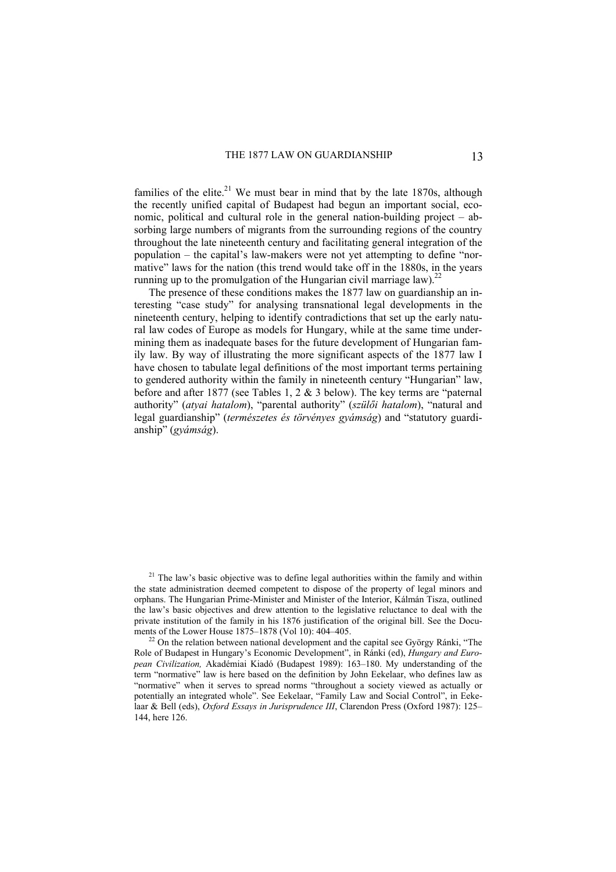families of the elite.<sup>21</sup> We must bear in mind that by the late 1870s, although the recently unified capital of Budapest had begun an important social, economic, political and cultural role in the general nation-building project – absorbing large numbers of migrants from the surrounding regions of the country throughout the late nineteenth century and facilitating general integration of the population – the capital's law-makers were not yet attempting to define "normative" laws for the nation (this trend would take off in the 1880s, in the years running up to the promulgation of the Hungarian civil marriage law).<sup>2</sup>

The presence of these conditions makes the 1877 law on guardianship an interesting "case study" for analysing transnational legal developments in the nineteenth century, helping to identify contradictions that set up the early natural law codes of Europe as models for Hungary, while at the same time undermining them as inadequate bases for the future development of Hungarian family law. By way of illustrating the more significant aspects of the 1877 law I have chosen to tabulate legal definitions of the most important terms pertaining to gendered authority within the family in nineteenth century "Hungarian" law, before and after 1877 (see Tables 1, 2 & 3 below). The key terms are "paternal authority" (*atyai hatalom*), "parental authority" (*szülői hatalom*), "natural and legal guardianship" (*természetes és törvényes gyámság*) and "statutory guardianship" (*gyámság*).

 $21$  The law's basic objective was to define legal authorities within the family and within the state administration deemed competent to dispose of the property of legal minors and orphans. The Hungarian Prime-Minister and Minister of the Interior, Kálmán Tisza, outlined the law's basic objectives and drew attention to the legislative reluctance to deal with the private institution of the family in his 1876 justification of the original bill. See the Docu-<br>ments of the Lower House 1875–1878 (Vol 10): 404–405

 $^{22}$  On the relation between national development and the capital see György Ránki, "The Role of Budapest in Hungary's Economic Development", in Ránki (ed), *Hungary and European Civilization,* Akadémiai Kiadó (Budapest 1989): 163–180. My understanding of the term "normative" law is here based on the definition by John Eekelaar, who defines law as "normative" when it serves to spread norms "throughout a society viewed as actually or potentially an integrated whole". See Eekelaar, "Family Law and Social Control", in Eekelaar & Bell (eds), *Oxford Essays in Jurisprudence III*, Clarendon Press (Oxford 1987): 125– 144, here 126.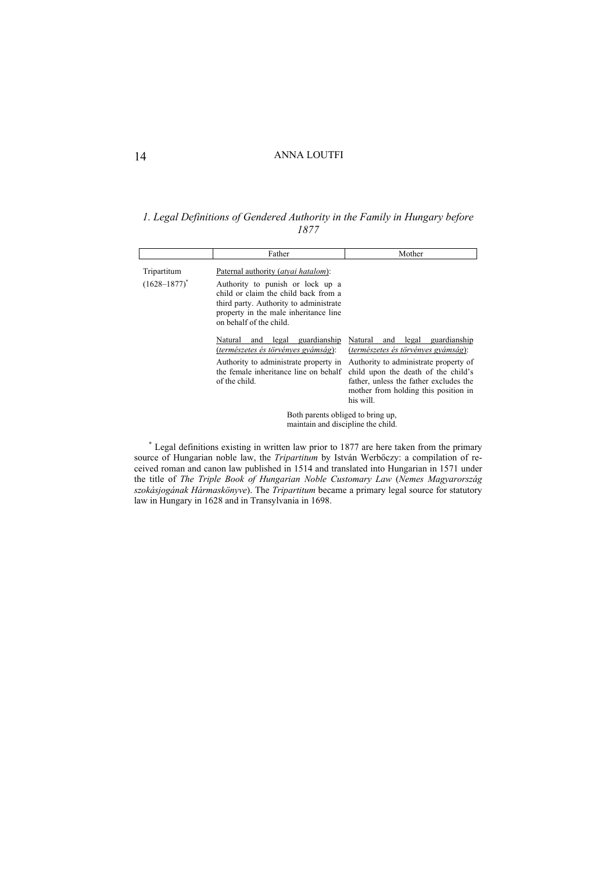*1. Legal Definitions of Gendered Authority in the Family in Hungary before 1877* 

|                                  | Father                                                                                                                                                                                                                                                                                                                                                                                                             | Mother                                                                                                                                                                                                                                                     |  |
|----------------------------------|--------------------------------------------------------------------------------------------------------------------------------------------------------------------------------------------------------------------------------------------------------------------------------------------------------------------------------------------------------------------------------------------------------------------|------------------------------------------------------------------------------------------------------------------------------------------------------------------------------------------------------------------------------------------------------------|--|
| Tripartitum<br>$(1628 - 1877)^*$ | Paternal authority (atvai hatalom):<br>Authority to punish or lock up a<br>child or claim the child back from a<br>third party. Authority to administrate<br>property in the male inheritance line<br>on behalf of the child.<br>guardianship<br>Natural<br>legal<br>and<br>(természetes és törvényes gyámság):<br>Authority to administrate property in<br>the female inheritance line on behalf<br>of the child. | Natural<br>legal guardianship<br>and<br>(természetes és törvényes gyámság):<br>Authority to administrate property of<br>child upon the death of the child's<br>father, unless the father excludes the<br>mother from holding this position in<br>his will. |  |
|                                  | Both parents obliged to bring up,<br>maintain and discipline the child.                                                                                                                                                                                                                                                                                                                                            |                                                                                                                                                                                                                                                            |  |

\* Legal definitions existing in written law prior to 1877 are here taken from the primary source of Hungarian noble law, the *Tripartitum* by István Werbőczy: a compilation of received roman and canon law published in 1514 and translated into Hungarian in 1571 under the title of *The Triple Book of Hungarian Noble Customary Law* (*Nemes Magyarország szokásjogának Hármaskönyve*). The *Tripartitum* became a primary legal source for statutory law in Hungary in 1628 and in Transylvania in 1698.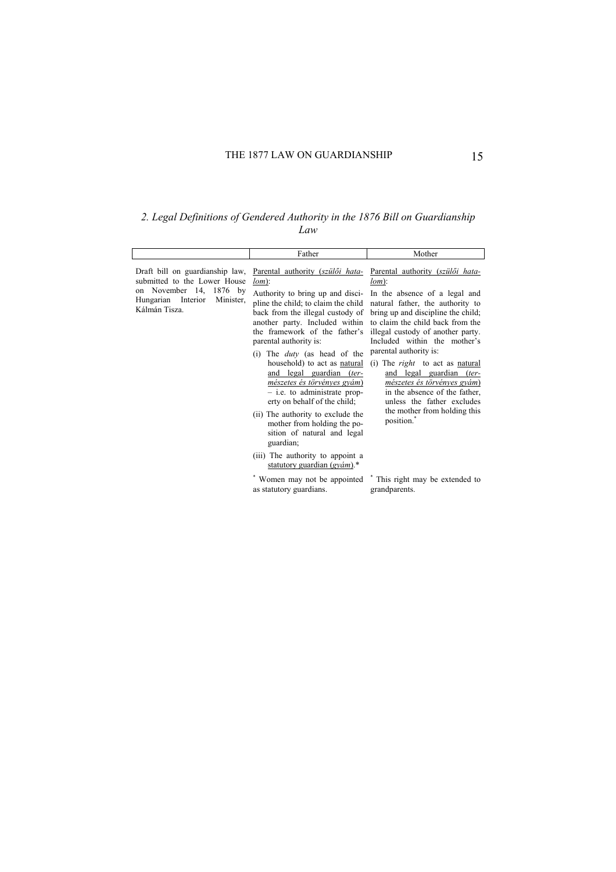*2. Legal Definitions of Gendered Authority in the 1876 Bill on Guardianship Law* 

|                                                                                                                                                   | Father                                                                                                                                                                                                                                                                                                                                                                                                                                                                                                                                                                                                                                                                                                                       | Mother                                                                                                                                                                                                                                                                                                                                                                                                                                                                                                                                                                 |
|---------------------------------------------------------------------------------------------------------------------------------------------------|------------------------------------------------------------------------------------------------------------------------------------------------------------------------------------------------------------------------------------------------------------------------------------------------------------------------------------------------------------------------------------------------------------------------------------------------------------------------------------------------------------------------------------------------------------------------------------------------------------------------------------------------------------------------------------------------------------------------------|------------------------------------------------------------------------------------------------------------------------------------------------------------------------------------------------------------------------------------------------------------------------------------------------------------------------------------------------------------------------------------------------------------------------------------------------------------------------------------------------------------------------------------------------------------------------|
| Draft bill on guardianship law,<br>submitted to the Lower House<br>November 14, 1876 by<br>on<br>Hungarian Interior<br>Minister,<br>Kálmán Tisza. | Parental authority (szülői hata-<br>$lom)$ :<br>Authority to bring up and disci-<br>pline the child; to claim the child<br>back from the illegal custody of<br>another party. Included within<br>the framework of the father's<br>parental authority is:<br>The <i>duty</i> (as head of the<br>(1)<br>household) to act as natural<br>and legal guardian (ter-<br>mészetes és törvényes gyám)<br>$-$ i.e. to administrate prop-<br>erty on behalf of the child;<br>(ii) The authority to exclude the<br>mother from holding the po-<br>sition of natural and legal<br>guardian;<br>(iii) The authority to appoint a<br>statutory guardian $(g\gamma\acute{a}m)^{*}$<br>Women may not be appointed<br>as statutory guardians. | Parental authority (szülői hata-<br>$lom)$ :<br>In the absence of a legal and<br>natural father, the authority to<br>bring up and discipline the child;<br>to claim the child back from the<br>illegal custody of another party.<br>Included within the mother's<br>parental authority is:<br>(i) The <i>right</i> to act as <u>natural</u><br>and legal guardian (ter-<br>mészetes és törvényes gyám)<br>in the absence of the father,<br>unless the father excludes<br>the mother from holding this<br>position.<br>* This right may be extended to<br>grandparents. |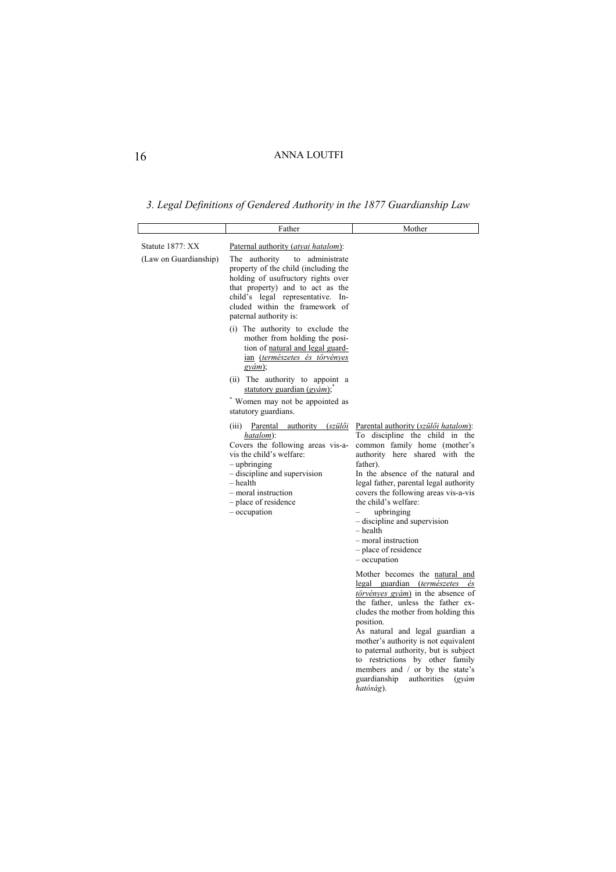*3. Legal Definitions of Gendered Authority in the 1877 Guardianship Law* 

|                                           | Father                                                                                                                                                                                                                                                                                                                                                                                                                                                                                                                                                                                                                                                                                                                                                                                                                        | Mother                                                                                                                                                                                                                                                                                                                                                                                                                                                                                                                                                                        |
|-------------------------------------------|-------------------------------------------------------------------------------------------------------------------------------------------------------------------------------------------------------------------------------------------------------------------------------------------------------------------------------------------------------------------------------------------------------------------------------------------------------------------------------------------------------------------------------------------------------------------------------------------------------------------------------------------------------------------------------------------------------------------------------------------------------------------------------------------------------------------------------|-------------------------------------------------------------------------------------------------------------------------------------------------------------------------------------------------------------------------------------------------------------------------------------------------------------------------------------------------------------------------------------------------------------------------------------------------------------------------------------------------------------------------------------------------------------------------------|
| Statute 1877: XX<br>(Law on Guardianship) | Paternal authority (atvai hatalom):<br>The authority<br>to administrate<br>property of the child (including the<br>holding of usufructory rights over<br>that property) and to act as the<br>child's legal representative. In-<br>cluded within the framework of<br>paternal authority is:<br>(i) The authority to exclude the<br>mother from holding the posi-<br>tion of natural and legal guard-<br>ian (természetes és törvényes<br>$gv$ ám):<br>(ii) The authority to appoint a<br>statutory guardian $(gyám)$ ;<br>* Women may not be appointed as<br>statutory guardians.<br>(iii) Parental authority (szülői<br>hatalom):<br>Covers the following areas vis-a-<br>vis the child's welfare:<br>- upbringing<br>- discipline and supervision<br>- health<br>- moral instruction<br>- place of residence<br>- occupation | Parental authority (szülői hatalom):<br>To discipline the child in the<br>common family home (mother's<br>authority here shared with the<br>father).<br>In the absence of the natural and<br>legal father, parental legal authority<br>covers the following areas vis-a-vis<br>the child's welfare:<br>upbringing<br>- discipline and supervision<br>$-$ health<br>- moral instruction<br>- place of residence<br>- occupation<br>Mother becomes the natural and<br>legal guardian (természetes és<br>$törvényes gyám$ in the absence of<br>the father, unless the father ex- |
|                                           |                                                                                                                                                                                                                                                                                                                                                                                                                                                                                                                                                                                                                                                                                                                                                                                                                               | cludes the mother from holding this<br>position.<br>As natural and legal guardian a<br>mother's authority is not equivalent<br>to paternal authority, but is subject<br>to restrictions by other family<br>members and / or by the state's<br>guardianship<br>authorities<br>$(g\gamma\acute{a}m)$<br>hatóság).                                                                                                                                                                                                                                                               |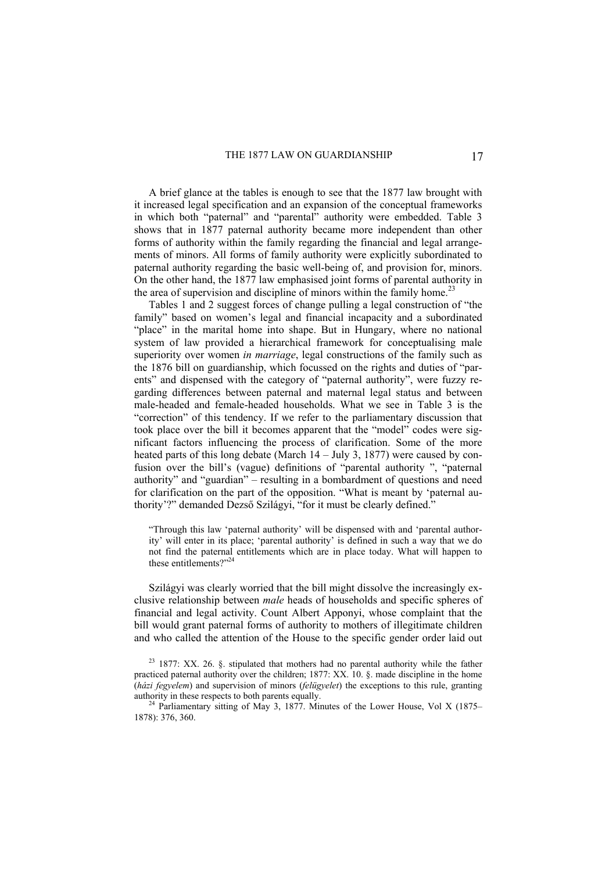A brief glance at the tables is enough to see that the 1877 law brought with it increased legal specification and an expansion of the conceptual frameworks in which both "paternal" and "parental" authority were embedded. Table 3 shows that in 1877 paternal authority became more independent than other forms of authority within the family regarding the financial and legal arrangements of minors. All forms of family authority were explicitly subordinated to paternal authority regarding the basic well-being of, and provision for, minors. On the other hand, the 1877 law emphasised joint forms of parental authority in the area of supervision and discipline of minors within the family home.<sup>23</sup>

Tables 1 and 2 suggest forces of change pulling a legal construction of "the family" based on women's legal and financial incapacity and a subordinated "place" in the marital home into shape. But in Hungary, where no national system of law provided a hierarchical framework for conceptualising male superiority over women *in marriage*, legal constructions of the family such as the 1876 bill on guardianship, which focussed on the rights and duties of "parents" and dispensed with the category of "paternal authority", were fuzzy regarding differences between paternal and maternal legal status and between male-headed and female-headed households. What we see in Table 3 is the "correction" of this tendency. If we refer to the parliamentary discussion that took place over the bill it becomes apparent that the "model" codes were significant factors influencing the process of clarification. Some of the more heated parts of this long debate (March 14 – July 3, 1877) were caused by confusion over the bill's (vague) definitions of "parental authority ", "paternal authority" and "guardian" – resulting in a bombardment of questions and need for clarification on the part of the opposition. "What is meant by 'paternal authority'?" demanded Dezső Szilágyi, "for it must be clearly defined."

"Through this law 'paternal authority' will be dispensed with and 'parental authority' will enter in its place; 'parental authority' is defined in such a way that we do not find the paternal entitlements which are in place today. What will happen to these entitlements?"24

Szilágyi was clearly worried that the bill might dissolve the increasingly exclusive relationship between *male* heads of households and specific spheres of financial and legal activity. Count Albert Apponyi, whose complaint that the bill would grant paternal forms of authority to mothers of illegitimate children and who called the attention of the House to the specific gender order laid out

 $23$  1877: XX, 26, 8, stipulated that mothers had no parental authority while the father practiced paternal authority over the children; 1877: XX. 10. §. made discipline in the home (*házi fegyelem*) and supervision of minors (*felügyelet*) the exceptions to this rule, granting

<sup>&</sup>lt;sup>24</sup> Parliamentary sitting of May 3, 1877. Minutes of the Lower House, Vol X (1875– 1878): 376, 360.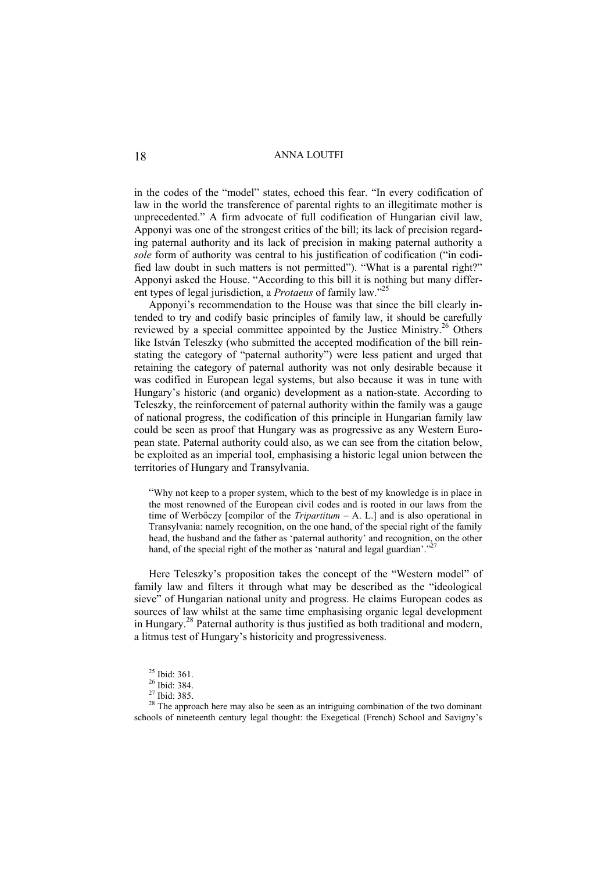in the codes of the "model" states, echoed this fear. "In every codification of law in the world the transference of parental rights to an illegitimate mother is unprecedented." A firm advocate of full codification of Hungarian civil law, Apponyi was one of the strongest critics of the bill; its lack of precision regarding paternal authority and its lack of precision in making paternal authority a *sole* form of authority was central to his justification of codification ("in codified law doubt in such matters is not permitted"). "What is a parental right?" Apponyi asked the House. "According to this bill it is nothing but many different types of legal jurisdiction, a *Protaeus* of family law."<sup>25</sup>

Apponyi's recommendation to the House was that since the bill clearly intended to try and codify basic principles of family law, it should be carefully reviewed by a special committee appointed by the Justice Ministry.26 Others like István Teleszky (who submitted the accepted modification of the bill reinstating the category of "paternal authority") were less patient and urged that retaining the category of paternal authority was not only desirable because it was codified in European legal systems, but also because it was in tune with Hungary's historic (and organic) development as a nation-state. According to Teleszky, the reinforcement of paternal authority within the family was a gauge of national progress, the codification of this principle in Hungarian family law could be seen as proof that Hungary was as progressive as any Western European state. Paternal authority could also, as we can see from the citation below, be exploited as an imperial tool, emphasising a historic legal union between the territories of Hungary and Transylvania.

"Why not keep to a proper system, which to the best of my knowledge is in place in the most renowned of the European civil codes and is rooted in our laws from the time of Werbőczy [compilor of the *Tripartitum* – A. L.] and is also operational in Transylvania: namely recognition, on the one hand, of the special right of the family head, the husband and the father as 'paternal authority' and recognition, on the other hand, of the special right of the mother as 'natural and legal guardian'."<sup>2</sup>

Here Teleszky's proposition takes the concept of the "Western model" of family law and filters it through what may be described as the "ideological sieve" of Hungarian national unity and progress. He claims European codes as sources of law whilst at the same time emphasising organic legal development in Hungary.28 Paternal authority is thus justified as both traditional and modern, a litmus test of Hungary's historicity and progressiveness.

<sup>&</sup>lt;sup>25</sup> Ibid: 361.

<sup>26</sup> Ibid: 384.

<sup>27</sup> Ibid: 385.

 $28$  The approach here may also be seen as an intriguing combination of the two dominant schools of nineteenth century legal thought: the Exegetical (French) School and Savigny's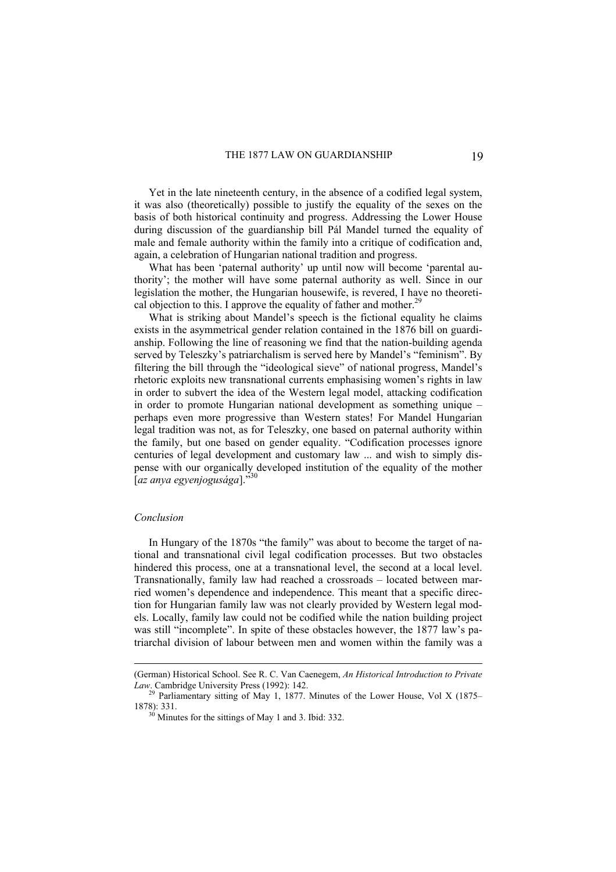Yet in the late nineteenth century, in the absence of a codified legal system, it was also (theoretically) possible to justify the equality of the sexes on the basis of both historical continuity and progress. Addressing the Lower House during discussion of the guardianship bill Pál Mandel turned the equality of male and female authority within the family into a critique of codification and, again, a celebration of Hungarian national tradition and progress.

What has been 'paternal authority' up until now will become 'parental authority'; the mother will have some paternal authority as well. Since in our legislation the mother, the Hungarian housewife, is revered, I have no theoretical objection to this. I approve the equality of father and mother.<sup>29</sup>

What is striking about Mandel's speech is the fictional equality he claims exists in the asymmetrical gender relation contained in the 1876 bill on guardianship. Following the line of reasoning we find that the nation-building agenda served by Teleszky's patriarchalism is served here by Mandel's "feminism". By filtering the bill through the "ideological sieve" of national progress, Mandel's rhetoric exploits new transnational currents emphasising women's rights in law in order to subvert the idea of the Western legal model, attacking codification in order to promote Hungarian national development as something unique – perhaps even more progressive than Western states! For Mandel Hungarian legal tradition was not, as for Teleszky, one based on paternal authority within the family, but one based on gender equality. "Codification processes ignore centuries of legal development and customary law ... and wish to simply dispense with our organically developed institution of the equality of the mother [*az anya egyenjogusága*]."30

### *Conclusion*

 $\overline{a}$ 

In Hungary of the 1870s "the family" was about to become the target of national and transnational civil legal codification processes. But two obstacles hindered this process, one at a transnational level, the second at a local level. Transnationally, family law had reached a crossroads – located between married women's dependence and independence. This meant that a specific direction for Hungarian family law was not clearly provided by Western legal models. Locally, family law could not be codified while the nation building project was still "incomplete". In spite of these obstacles however, the 1877 law's patriarchal division of labour between men and women within the family was a

<sup>(</sup>German) Historical School. See R. C. Van Caenegem, *An Historical Introduction to Private Law*. Cambridge University Press (1992): 142.

<sup>&</sup>lt;sup>29</sup> Parliamentary sitting of May 1, 1877. Minutes of the Lower House, Vol X (1875– 1878): 331. 30 Minutes for the sittings of May 1 and 3. Ibid: 332.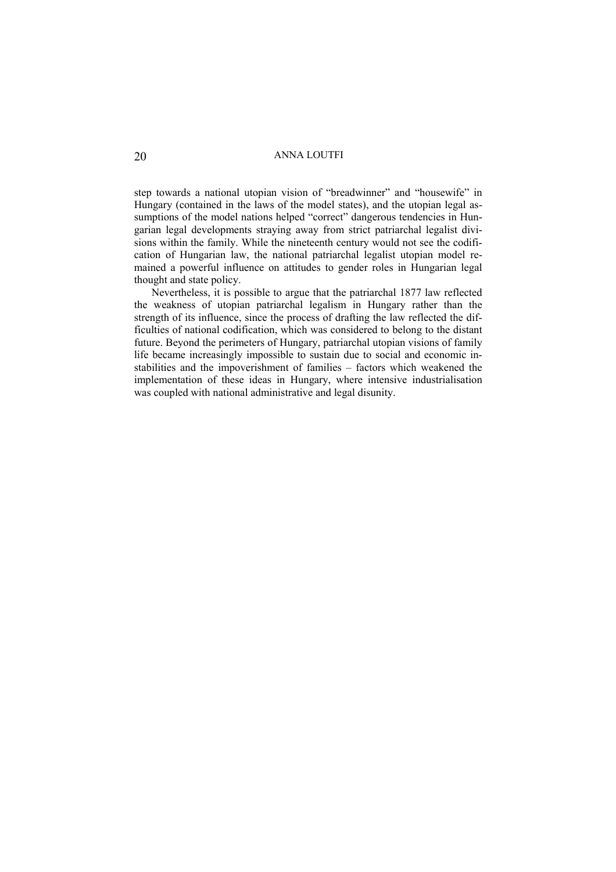step towards a national utopian vision of "breadwinner" and "housewife" in Hungary (contained in the laws of the model states), and the utopian legal assumptions of the model nations helped "correct" dangerous tendencies in Hungarian legal developments straying away from strict patriarchal legalist divisions within the family. While the nineteenth century would not see the codification of Hungarian law, the national patriarchal legalist utopian model remained a powerful influence on attitudes to gender roles in Hungarian legal thought and state policy.

 Nevertheless, it is possible to argue that the patriarchal 1877 law reflected the weakness of utopian patriarchal legalism in Hungary rather than the strength of its influence, since the process of drafting the law reflected the difficulties of national codification, which was considered to belong to the distant future. Beyond the perimeters of Hungary, patriarchal utopian visions of family life became increasingly impossible to sustain due to social and economic instabilities and the impoverishment of families – factors which weakened the implementation of these ideas in Hungary, where intensive industrialisation was coupled with national administrative and legal disunity.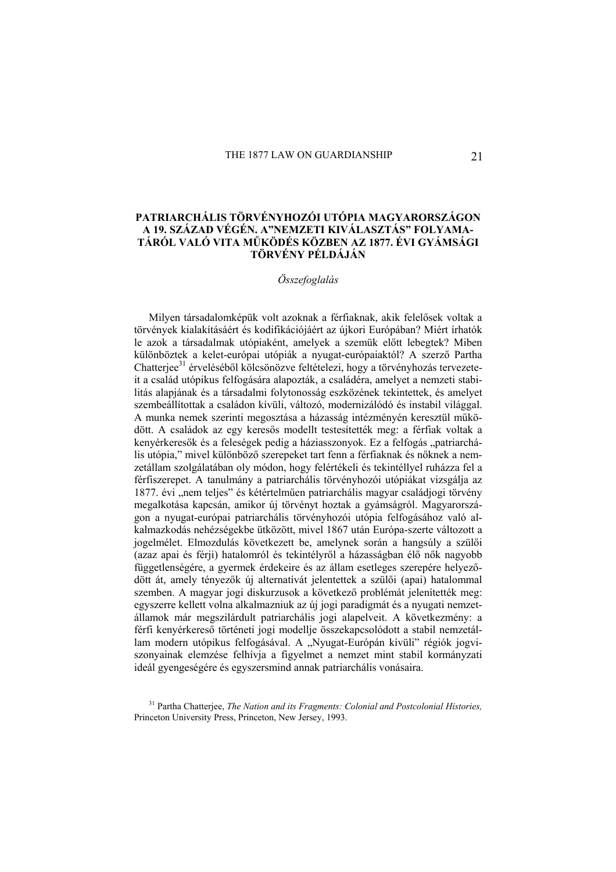# **PATRIARCHÁLIS TÖRVÉNYHOZÓI UTÓPIA MAGYARORSZÁGON A 19. SZÁZAD VÉGÉN. A"NEMZETI KIVÁLASZTÁS" FOLYAMA-TÁRÓL VALÓ VITA MŰKÖDÉS KÖZBEN AZ 1877. ÉVI GYÁMSÁGI TÖRVÉNY PÉLDÁJÁN**

# *Összefoglalás*

Milyen társadalomképük volt azoknak a férfiaknak, akik felelősek voltak a törvények kialakításáért és kodifikációjáért az újkori Európában? Miért írhatók le azok a társadalmak utópiaként, amelyek a szemük előtt lebegtek? Miben különböztek a kelet-európai utópiák a nyugat-európaiaktól? A szerző Partha Chatterjee<sup>31</sup> érveléséből kölcsönözve feltételezi, hogy a törvényhozás tervezeteit a család utópikus felfogására alapozták, a családéra, amelyet a nemzeti stabilitás alapjának és a társadalmi folytonosság eszközének tekintettek, és amelyet szembeállítottak a családon kívüli, változó, modernizálódó és instabil világgal. A munka nemek szerinti megosztása a házasság intézményén keresztül működött. A családok az egy keresős modellt testesítették meg: a férfiak voltak a kenyérkeresők és a feleségek pedig a háziasszonyok. Ez a felfogás "patriarchális utópia," mivel különböző szerepeket tart fenn a férfiaknak és nőknek a nemzetállam szolgálatában oly módon, hogy felértékeli és tekintéllyel ruházza fel a férfiszerepet. A tanulmány a patriarchális törvényhozói utópiákat vizsgálja az 1877. évi "nem teljes" és kétértelműen patriarchális magyar családjogi törvény megalkotása kapcsán, amikor új törvényt hoztak a gyámságról. Magyarországon a nyugat-európai patriarchális törvényhozói utópia felfogásához való alkalmazkodás nehézségekbe ütközött, mivel 1867 után Európa-szerte változott a jogelmélet. Elmozdulás következett be, amelynek során a hangsúly a szülői (azaz apai és férji) hatalomról és tekintélyről a házasságban élő nők nagyobb függetlenségére, a gyermek érdekeire és az állam esetleges szerepére helyeződött át, amely tényezők új alternatívát jelentettek a szülői (apai) hatalommal szemben. A magyar jogi diskurzusok a következő problémát jelenítették meg: egyszerre kellett volna alkalmazniuk az új jogi paradigmát és a nyugati nemzetállamok már megszilárdult patriarchális jogi alapelveit. A következmény: a férfi kenyérkereső történeti jogi modellje összekapcsolódott a stabil nemzetállam modern utópikus felfogásával. A "Nyugat-Európán kívüli" régiók jogyiszonyainak elemzése felhívja a figyelmet a nemzet mint stabil kormányzati ideál gyengeségére és egyszersmind annak patriarchális vonásaira.

31 Partha Chatterjee, *The Nation and its Fragments: Colonial and Postcolonial Histories,*  Princeton University Press, Princeton, New Jersey, 1993.